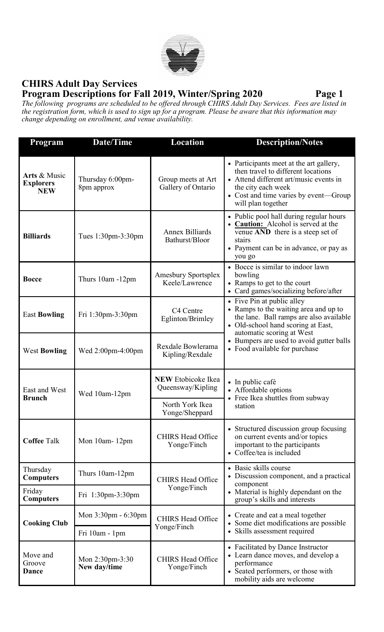

## **CHIRS Adult Day Services Program Descriptions for Fall 2019, Winter/Spring 2020 Page 1**

*The following programs are scheduled to be offered through CHIRS Adult Day Services. Fees are listed in the registration form, which is used to sign up for a program. Please be aware that this information may change depending on enrollment, and venue availability.* 

| <b>Program</b>                                 | Date/Time                       | Location                                                                            | <b>Description/Notes</b>                                                                                                                                                                                     |
|------------------------------------------------|---------------------------------|-------------------------------------------------------------------------------------|--------------------------------------------------------------------------------------------------------------------------------------------------------------------------------------------------------------|
| Arts & Music<br><b>Explorers</b><br><b>NEW</b> | Thursday 6:00pm-<br>8pm approx  | Group meets at Art<br>Gallery of Ontario                                            | • Participants meet at the art gallery,<br>then travel to different locations<br>• Attend different art/music events in<br>the city each week<br>• Cost and time varies by event—Group<br>will plan together |
| <b>Billiards</b>                               | Tues 1:30pm-3:30pm              | <b>Annex Billiards</b><br>Bathurst/Bloor                                            | • Public pool hall during regular hours<br>• Caution: Alcohol is served at the<br>venue AND there is a steep set of<br>stairs<br>• Payment can be in advance, or pay as<br>you go                            |
| <b>Bocce</b>                                   | Thurs 10am -12pm                | <b>Amesbury Sportsplex</b><br>Keele/Lawrence                                        | • Bocce is similar to indoor lawn<br>bowling<br>• Ramps to get to the court<br>• Card games/socializing before/after                                                                                         |
| <b>East Bowling</b>                            | Fri 1:30pm-3:30pm               | C4 Centre<br>Eglinton/Brimley                                                       | • Five Pin at public alley<br>• Ramps to the waiting area and up to<br>the lane. Ball ramps are also available<br>• Old-school hand scoring at East,<br>automatic scoring at West                            |
| <b>West Bowling</b>                            | Wed $2:00$ pm-4:00pm            | Rexdale Bowlerama<br>Kipling/Rexdale                                                | • Bumpers are used to avoid gutter balls<br>• Food available for purchase                                                                                                                                    |
| East and West<br><b>Brunch</b>                 | Wed 10am-12pm                   | <b>NEW</b> Etobicoke Ikea<br>Queensway/Kipling<br>North York Ikea<br>Yonge/Sheppard | $\bullet$ In public café<br>• Affordable options<br>• Free Ikea shuttles from subway<br>station                                                                                                              |
| <b>Coffee Talk</b>                             | Mon 10am-12pm                   | <b>CHIRS Head Office</b><br>Yonge/Finch                                             | • Structured discussion group focusing<br>on current events and/or topics<br>important to the participants<br>• Coffee/tea is included                                                                       |
| Thursday<br><b>Computers</b>                   | Thurs 10am-12pm                 | <b>CHIRS Head Office</b>                                                            | • Basic skills course<br>• Discussion component, and a practical<br>component<br>• Material is highly dependant on the<br>group's skills and interests                                                       |
| Friday<br><b>Computers</b>                     | Fri 1:30pm-3:30pm               | Yonge/Finch                                                                         |                                                                                                                                                                                                              |
| <b>Cooking Club</b>                            | Mon $3:30$ pm - $6:30$ pm       | <b>CHIRS Head Office</b>                                                            | • Create and eat a meal together<br>• Some diet modifications are possible<br>• Skills assessment required                                                                                                   |
|                                                | Fri 10am - 1pm                  | Yonge/Finch                                                                         |                                                                                                                                                                                                              |
| Move and<br>Groove<br>Dance                    | Mon 2:30pm-3:30<br>New day/time | <b>CHIRS Head Office</b><br>Yonge/Finch                                             | • Facilitated by Dance Instructor<br>• Learn dance moves, and develop a<br>performance<br>• Seated performers, or those with<br>mobility aids are welcome                                                    |